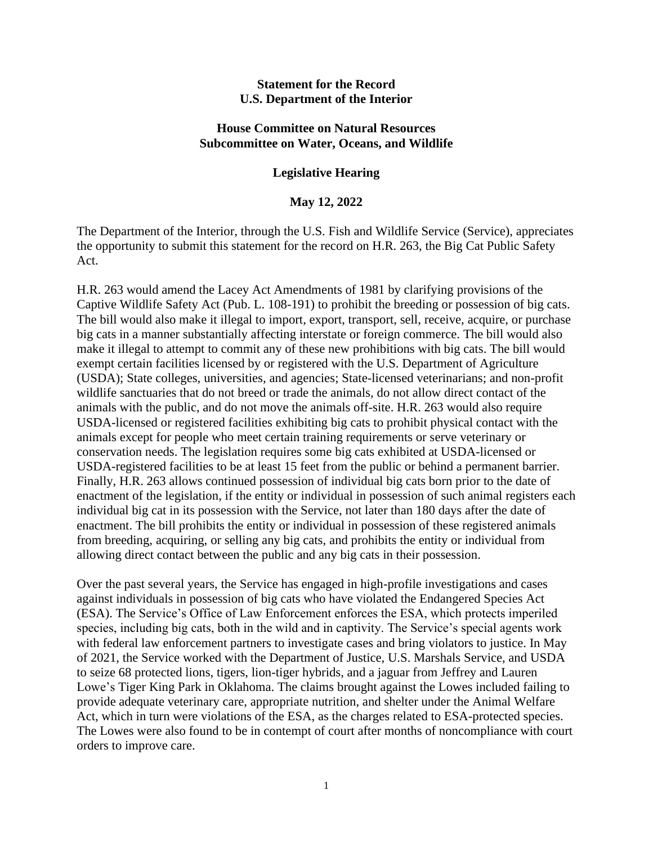## **Statement for the Record U.S. Department of the Interior**

## **House Committee on Natural Resources Subcommittee on Water, Oceans, and Wildlife**

## **Legislative Hearing**

## **May 12, 2022**

The Department of the Interior, through the U.S. Fish and Wildlife Service (Service), appreciates the opportunity to submit this statement for the record on H.R. 263, the Big Cat Public Safety Act.

H.R. 263 would amend the Lacey Act Amendments of 1981 by clarifying provisions of the Captive Wildlife Safety Act (Pub. L. 108-191) to prohibit the breeding or possession of big cats. The bill would also make it illegal to import, export, transport, sell, receive, acquire, or purchase big cats in a manner substantially affecting interstate or foreign commerce. The bill would also make it illegal to attempt to commit any of these new prohibitions with big cats. The bill would exempt certain facilities licensed by or registered with the U.S. Department of Agriculture (USDA); State colleges, universities, and agencies; State-licensed veterinarians; and non-profit wildlife sanctuaries that do not breed or trade the animals, do not allow direct contact of the animals with the public, and do not move the animals off-site. H.R. 263 would also require USDA-licensed or registered facilities exhibiting big cats to prohibit physical contact with the animals except for people who meet certain training requirements or serve veterinary or conservation needs. The legislation requires some big cats exhibited at USDA-licensed or USDA-registered facilities to be at least 15 feet from the public or behind a permanent barrier. Finally, H.R. 263 allows continued possession of individual big cats born prior to the date of enactment of the legislation, if the entity or individual in possession of such animal registers each individual big cat in its possession with the Service, not later than 180 days after the date of enactment. The bill prohibits the entity or individual in possession of these registered animals from breeding, acquiring, or selling any big cats, and prohibits the entity or individual from allowing direct contact between the public and any big cats in their possession.

Over the past several years, the Service has engaged in high-profile investigations and cases against individuals in possession of big cats who have violated the Endangered Species Act (ESA). The Service's Office of Law Enforcement enforces the ESA, which protects imperiled species, including big cats, both in the wild and in captivity. The Service's special agents work with federal law enforcement partners to investigate cases and bring violators to justice. In May of 2021, the Service worked with the Department of Justice, U.S. Marshals Service, and USDA to seize 68 protected lions, tigers, lion-tiger hybrids, and a jaguar from Jeffrey and Lauren Lowe's Tiger King Park in Oklahoma. The claims brought against the Lowes included failing to provide adequate veterinary care, appropriate nutrition, and shelter under the Animal Welfare Act, which in turn were violations of the ESA, as the charges related to ESA-protected species. The Lowes were also found to be in contempt of court after months of noncompliance with court orders to improve care.